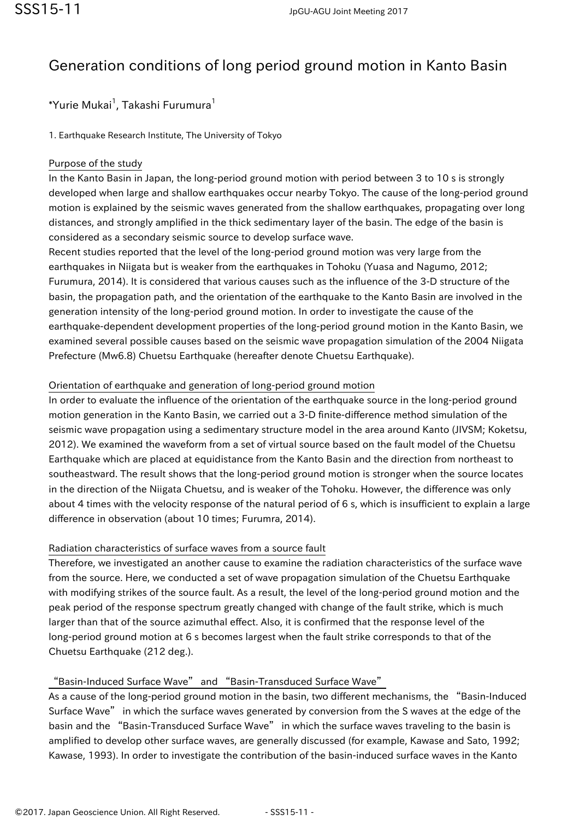# Generation conditions of long period ground motion in Kanto Basin

 $^*$ Yurie Mukai $^1$ , Takashi Furumura $^1$ 

1. Earthquake Research Institute, The University of Tokyo

### Purpose of the study

In the Kanto Basin in Japan, the long-period ground motion with period between 3 to 10 s is strongly developed when large and shallow earthquakes occur nearby Tokyo. The cause of the long-period ground motion is explained by the seismic waves generated from the shallow earthquakes, propagating over long distances, and strongly amplified in the thick sedimentary layer of the basin. The edge of the basin is considered as a secondary seismic source to develop surface wave.

Recent studies reported that the level of the long-period ground motion was very large from the earthquakes in Niigata but is weaker from the earthquakes in Tohoku (Yuasa and Nagumo, 2012; Furumura, 2014). It is considered that various causes such as the influence of the 3-D structure of the basin, the propagation path, and the orientation of the earthquake to the Kanto Basin are involved in the generation intensity of the long-period ground motion. In order to investigate the cause of the earthquake-dependent development properties of the long-period ground motion in the Kanto Basin, we examined several possible causes based on the seismic wave propagation simulation of the 2004 Niigata Prefecture (Mw6.8) Chuetsu Earthquake (hereafter denote Chuetsu Earthquake).

# Orientation of earthquake and generation of long-period ground motion

In order to evaluate the influence of the orientation of the earthquake source in the long-period ground motion generation in the Kanto Basin, we carried out a 3-D finite-difference method simulation of the seismic wave propagation using a sedimentary structure model in the area around Kanto (JIVSM; Koketsu, 2012). We examined the waveform from a set of virtual source based on the fault model of the Chuetsu Earthquake which are placed at equidistance from the Kanto Basin and the direction from northeast to southeastward. The result shows that the long-period ground motion is stronger when the source locates in the direction of the Niigata Chuetsu, and is weaker of the Tohoku. However, the difference was only about 4 times with the velocity response of the natural period of 6 s, which is insufficient to explain a large difference in observation (about 10 times; Furumra, 2014).

# Radiation characteristics of surface waves from a source fault

Therefore, we investigated an another cause to examine the radiation characteristics of the surface wave from the source. Here, we conducted a set of wave propagation simulation of the Chuetsu Earthquake with modifying strikes of the source fault. As a result, the level of the long-period ground motion and the peak period of the response spectrum greatly changed with change of the fault strike, which is much larger than that of the source azimuthal effect. Also, it is confirmed that the response level of the long-period ground motion at 6 s becomes largest when the fault strike corresponds to that of the Chuetsu Earthquake (212 deg.).

# "Basin-Induced Surface Wave" and "Basin-Transduced Surface Wave"

As a cause of the long-period ground motion in the basin, two different mechanisms, the "Basin-Induced Surface Wave" in which the surface waves generated by conversion from the S waves at the edge of the basin and the "Basin-Transduced Surface Wave" in which the surface waves traveling to the basin is amplified to develop other surface waves, are generally discussed (for example, Kawase and Sato, 1992; Kawase, 1993). In order to investigate the contribution of the basin-induced surface waves in the Kanto